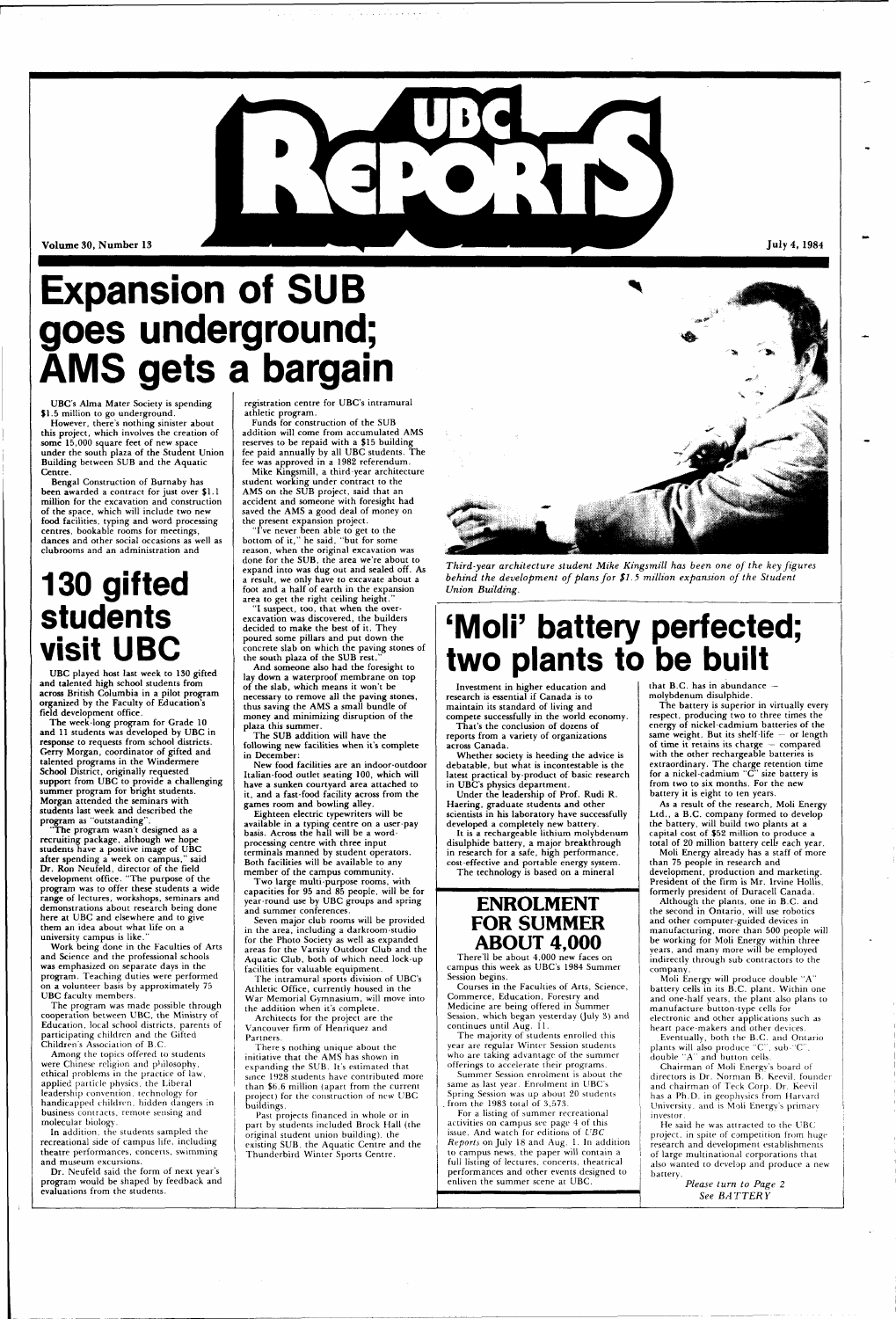

Volume 30, Number 13

## **Expansion of SUB goes underground; AMS gets a bargain**

**UBC's Alma Mater Society is spending \$1.5 million to go underground.** 

**However, there's nothing sinister about this project, which involves the creation of some 15,000 square feet of new space under the south plaza of the Student Union Building between SUB and the Aquatic Centre.** 

**Bengal Construction of Burnaby has been awarded a contract for just over \$1.1 million for the excavation and construction of the space, which will include two new food facilities, typing and word processing centres, bookable rooms for meetings, dances and other social occasions as well as clubrooms and an administration and** 

## **130 gifted students visit UBC**

**UBC played host last week to 130 gifted and talented high school students from across British Columbia in a pilot program organized by the Faculty of Education's field development office.** 

**The week-long program for Grade 10**  and **11 students was developed by UBC in response to requests from school districts. Gerry Morgan, coordinator of gifted and talented programs in the Windermere School District, originally requested support from UBC to provide a challenging summer program for bright students. Morgan attended the seminars with students last week and described the program as "outstanding".** 

**"The program wasn't designed as a recruiting package, although we hope students have a positive image of UBC after spending a week on campus," said Dr. Ron Neufeld, director of the field development office. "The purpose of the program was to offer these students a wide range of lectures, workshops, seminars and demonstrations about research being done here at UBC and elsewhere and to give them an idea about what life on a university campus is like."** 

**Work being done in the Faculties of Arts and Science and the professional schools was emphasized on separate days in the program. Teaching duties were performed** 

**on a volunteer basis by approximately** 75 **UBC faculty** members.

**The** program was made possible through cooperation between **UBC, the** Ministry of **Education,** local school districts, parents of **participating** children and the Gifted Children's Association of B.C.

Among the topics offered to students **were** Chinese religion and philosophy, ethical problems in the practice of law, applied particle physics, the Liberal leadership convention, technology for handicapped children, hidden dangers in business contracts, remote sensing and molecular biology.

In addition, the students sampled the recreational side of campus life, including **theatre** performances, concerts, swimming **and** museum excursions.

**Dr.** Neufeld said the form of next year's **program would be** shaped **by feedback and evaluations** from **the students.** 

**registration centre for UBC's intramural athletic program.** 

**Funds for construction of the SUB addition will come from accumulated AMS reserves to be repaid with a \$15 building fee paid annually by all UBC students. The fee was approved in a 1982 referendum.** 

**Mike Kingsmill, a third-year architecture student working under contract to the AMS on the SUB project, said that an accident and someone with foresight had saved the AMS a good deal of money on the present expansion project.** 

**"I've never been able to get to the bottom of it," he said, "but for some reason, when the original excavation was done for the SUB, the area we're about to expand into was dug out and sealed off. As a result, we only have to excavate about a foot and a half of earth in the expansion area to get the right ceiling height."** 

**"I suspect, too, that when the overexcavation was discovered, the builders decided to make the best of it. They poured some pillars and put down the concrete slab on which the paving stones of the south plaza of the SUB rest."** 

> that B.C. has in abundance **molybdenum disulphide.**

**And someone also had the foresight to lay down a waterproof membrane on top of the slab, which means it won't be necessary to remove all the paving stones, thus saving the AMS a small bundle of money and minimizing disruption of the plaza this summer.** 

**The SUB addition will have the following new facilities when it's complete in December:** 

**New food facilities are an indoor-outdoor Italian-food outlet seating 100, which will have a sunken courtyard area attached to it, and a fast-food facility across from the games room and bowling alley.** 

**Eighteen electric typewriters will be available in a typing centre on a user-pay basis. Across the hall will be a wordprocessing centre with three input terminals manned by student operators. Both facilities will be available to any member of the campus community.** 

**Two large multi-purpose rooms, with capacities for 95 and 85 people, will be for year-round use by UBC groups and spring and summer conferences.** 

> He said he was attracted to the UBC project, in spite of competition from huge research and development establishments of large multinational corporations that also wanted to develop and produce a new battery.

**Seven major club rooms will be provided in the area, including a darkroom-studio for the Photo Society as well as expanded areas for the Varsity Outdoor Club and the Aquatic Club, both of which need lock-up** 

**facilities for valuable equipment. The intramural sports division** of **UBC's** 



**Athletic Office, currently housed in the War Memorial Gymnasium, will** move **into the addition when it's** complete.

**Architects** for **the** project are the Vancouver **firm** of Henriquez and Partners.

There s nothing unique about the **initiative that the AMS** has shown in expanding the SUB. It's estimated that since 1928 students have contributed more than \$6.6 million (apart from the current project) for the construction of new UBC buildings.

Past projects financed in whole or in part by students included Brock Hall (the original student union building), the existing SUB. the Aquatic Centre and the Thunderbird Winter Sports Centre.

*Third-year architecture student Mike Kingsmill has been one of the key figures behind the development of plans for \$1.5 million expansion of the Student Union Building.* 

**Investment in higher education and research is essential if Canada is to maintain its standard of living and compete successfully in the world economy.** 

**That's the conclusion of dozens of reports from a variety of organizations** 

**across Canada. Whether society is heeding the advice is** 

**debatable, but what is incontestable is the latest practical by-product of basic research in UBC's physics department.** 

**Under the leadership of Prof. Rudi R. Haering, graduate students and other scientists in his laboratory have successfully developed a completely new battery.** 

**It is a rechargeable lithium molybdenum disulphide battery, a major breakthrough in research for a safe, high performance, cost-effective and portable energy system. The technology is based on a mineral** 

### **ENROLMENT FOR SUMMER ABOUT 4,000**

**There'll be about 4,000 new faces on campus this week as UBC's 1984 Summer Session begins.** 

## **'Moli' battery perfected; two plants to be built**

Courses **in the Faculties** of **Arts,** Science, Commerce, Education, Forestry and Medicine are being offered in Summer Session, which began yesterday (July 3) and continues until Aug. 11.

The majority of students enrolled this year are regular Winter Session students who are taking advantage of the summer offerings to accelerate their programs.

Summer Session enrolment is about the same as last year. Enrolment in UBC's Spring Session was up about 20 students . from the 1983 total of 3,573.

For a listing of summer recreational activities on campus sec page 4 of this issue. And watch for editions of *UBC Reports* on July 18 and Aug. 1. In addition to campus news, the paper will contain a full listing of lectures, concerts, theatrical performances and other events designed to enliven the summer scene at UBC.

**The battery is superior in virtually every respect, producing two to three times the energy of nickel-cadmium batteries of the same weight. But its shelf-life — or length of time it retains its charge — compared with the other rechargeable batteries is extraordinary. The charge retention time for a nickel-cadmium "C" size battery is from two to six months. For the new battery it is eight to ten years.** 

July 4, 1984

**As a result of the research, Moli Energy Ltd., a B.C. company formed to develop the battery, will build two plants at a capital cost of \$52 million to produce a total of 20 million battery cell? each year.** 

**Moli Energy already has a staff of more than 75 people in research and development, production and marketing. President of the firm is Mr. Irvine Hollis, formerly president of Duracell Canada.** 

**Although the plants, one in B.C. and the second in Ontario, will** use **robotics and other computer-guided** devices **in manufacturing, more than 500** people **will be working for Moli** Energy **within three**  years, and many more will be employed indirectly through sub contractors to the company.

Moli Energy **will** produce double "A"

battery cells in its B.C. plant. Within one and one-half years, the plant also plans to manufacture button-type cells for electronic and other applications such as heart pace-makers and other devices.

Eventually, both the B.C. and Ontario plants will also produce "C". sub-"C". double "A" and button cells.

Chairman of Moli Energy's board of directors is Dr. Norman B. Keevil, founder and chairman of Teck Corp. Dr. Keevil has a Ph.D. in geophysics from Harvard University, and is Moli Energy's primary investor.

> *Please turn to Page 2 See BA TTER Y*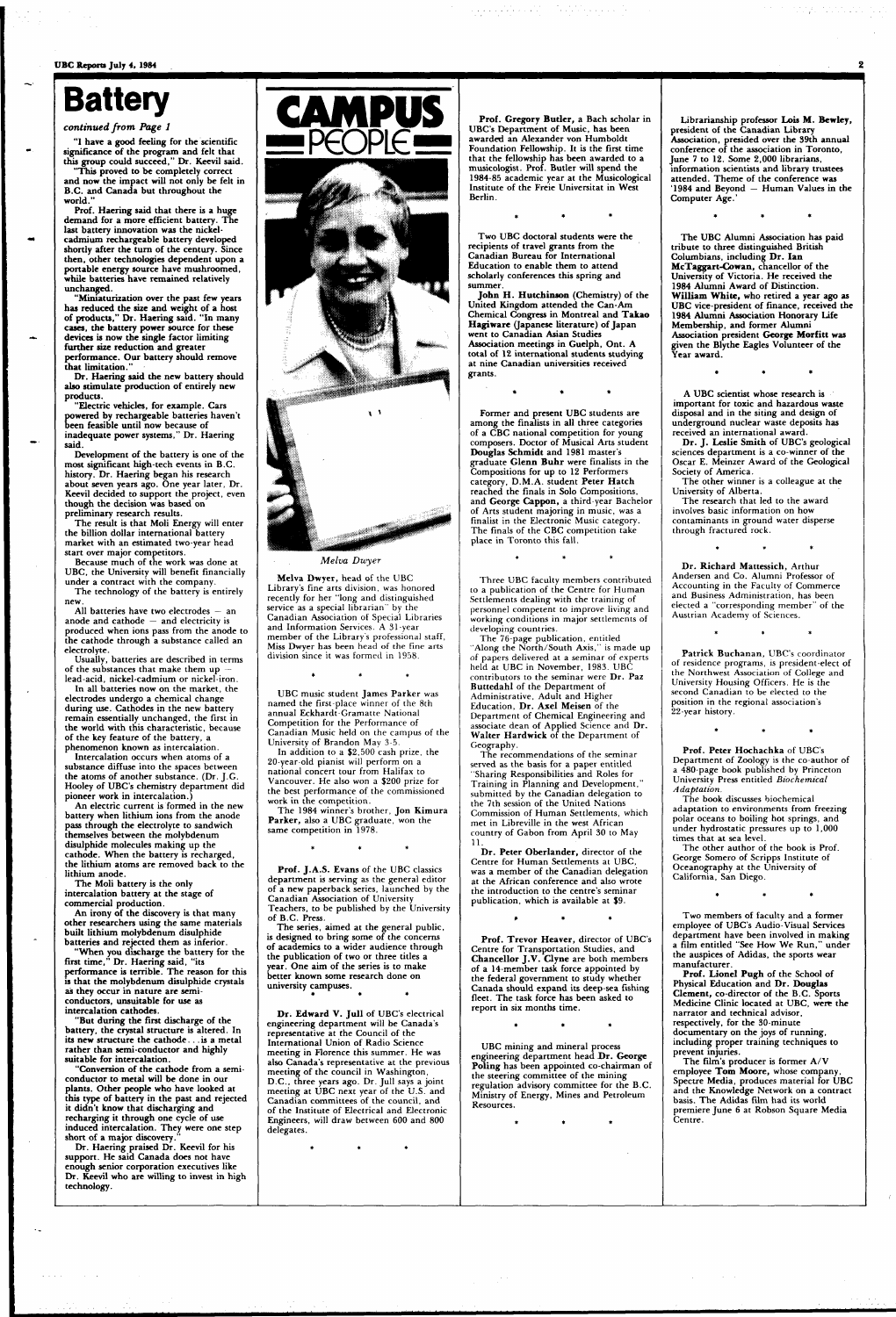**UBC Reports July 4, 1984** 

## **Battery**

#### *continued from Page 1*

**"I have a good feeling for the scientific significance of the program and felt that this group could succeed," Dr. Keevil said.** 

**"This proved to be completely correct and now the impact will not only be felt in B.C. and Canada but throughout the world."** 

**Prof. Haering said that there is a huge demand for a more efficient battery. The last battery innovation was the nickelcadmium rechargeable battery developed shortly after the turn of the century. Since then, other technologies dependent upon a portable energy source have mushroomed, while batteries have remained relatively unchanged.** 

**"Miniaturization over the past few years has reduced the size and weight of a host of products," Dr. Haering said. "In many cases, the battery power source for these devices is now the single factor limiting further size reduction and greater performance. Our battery should remove** 

**that limitation." Dr. Haering said the new battery should also stimulate production of entirely new products.** 

**"Electric vehicles, for example. Cars powered by rechargeable batteries haven't been feasible until now because of inadequate power systems," Dr. Haering said.** 

**Development of the battery is one of the most significant high-tech events in B.C. history. Dr. Haering began his research about seven years ago. One year later, Dr. Keevil decided to support the project, even though the decision was based on preliminary research results.** 

**The result is that Moli Energy will enter the billion dollar international battery market with an estimated two-year** head **start over major competitors.** 

**Because much of the work** was done **at UBC, the University will benefit financially under a contract with the company. The technology of the battery is entirely** 

**new. All batteries have two electrodes — an** 

**anode and cathode — and electricity is produced when ions pass from the anode to the cathode through a substance called an electrolyte.** 

**Usually, batteries are described in terms of the substances that make** them up **lead-acid, nickel-cadmium or nickel-iron.** 

**In all batteries now on the market,** the **electrodes undergo a chemical change during use. Cathodes in the new battery remain essentially unchanged, the first in the world with this characteristic, because of the key feature of the battery, a phenomenon known as intercalation.** 

UBC music student James Parker was named the first-place winner of the 8th annual Eckhardt-Gramatte National Competition for the Performance of Canadian Music held on the campus of the University of Brandon May 3-5.

The 1984 winner's brother, **Jon Kimura Parker,** also a UBC graduate, won the same competition in 1978.

**Intercalation occurs when atoms of a substance diffuse into the spaces** between **the atoms of another substance. (Dr. J.G. Hooley of UBC's chemistry department did pioneer work in intercalation.)** 

**An electric current is formed in the new battery when lithium ions from the anode pass through the electrolyte to sandwich themselves between the molybdenum disulphide molecules making up the cathode. When the battery is recharged, the lithium atoms are removed back to the lithium anode.** 

> **Dr. Edward V. Jull of UBC's electrical engineering department will be Canada's representative at the Council of the International Union of Radio Science meeting in Florence this summer. He was also Canada's representative at** the **previous meeting of the council in Washington, D.C., three** years **ago. Dr. Jull** says a joint **meeting** at **UBC** next year of the U.S. and Canadian committees of the council, and **of the** Institute of Electrical and Electronic Engineers, will draw between 600 and 800 delegates.

**The Moli battery is the only intercalation battery at the stage of commercial production.** 

**An irony of the discovery is that many other researchers using the same materials built lithium molybdenum disulphide batteries and rejected them as inferior.** 

**"When you discharge the battery for the first time," Dr. Haering said, "its performance is terrible. The reason for this** 

**is that the molybdenum disulphide crystals as they occur in nature are semiconductors, unsuitable for use as intercalation cathodes.** 

**"But during the first discharge of the battery, the crystal structure is altered. In its new structure the cathode... is a metal rather than semi-conductor and highly suitable for intercalation.** 

**"Conversion of the cathode from a semiconductor to metal will be done in our plants. Other people who have looked at this type of battery in the past and rejected it didn't know that discharging and recharging it through one cycle of use induced intercalation. They were one step short of a major discovery."** 

**Dr. Haering praised Dr. Keevil for his support. He said Canada does not have enough senior corporation executives like Dr. Keevil who are willing to invest in high technology.** 



#### *Melva Dwyer*

**Melva Dwyer,** head of the UBC Library's fine arts division, was honored recently for her "long and distinguished service as a special librarian" by the Canadian Association of Special Libraries and Information Services. A 31-year member of the Library's professional staff, Miss Dwyer has been head of the fine arts division since it was formed in 1958.

In addition to a \$2,500 cash prize, the 20-year-old pianist will perform on a national concert tour from Halifax to Vancouver. He also won a \$200 prize for the best performance of the commissioned work in the competition.

**Prof. J.A.S. Evans** of the UBC classics department is serving as the general editor of a **new** paperback series, launched by the Canadian Association of University **Teachers,** to be published by the University **of B.C. Press.** 

**The series, aimed at the general public, is designed to bring some of the concerns of academics to a wider audience through the publication of two or three titles a year. One aim of the series is to make better known some research done on** 

**university campuses.** 

**Prof. Gregory Butler, a Bach scholar in UBC's Department of Music, has been awarded an Alexander von Humboldt Foundation Fellowship. It is the first time that the fellowship has been awarded to a musicologist. Prof. Butler will spend the 1984-85 academic year at the Musicological Institute of the Freie Universitat in West Berlin.** 

a de la construcción de la construcción de la construcción de la construcción de la construcción de la construcción de la construcción de la construcción de la construcción de la construcción de la construcción de la const

والمستقلة والمتحدث

**Two UBC doctoral students were the recipients of travel grants from the Canadian Bureau for International Education to enable them to attend scholarly conferences this spring and summer.** 

**John H. Hutchinson (Chemistry) of the United Kingdom attended the Can-Am Chemical Congress in Montreal and Takao Hagiware (Japanese literature) of Japan went to Canadian Asian Studies Association meetings in Guelph, Ont. A total of 12 international students studying at nine Canadian universities received grants.** 

**Former and present UBC students are among the finalists in all three categories of a CBC national competition for young composers. Doctor of Musical Arts student Douglas Schmidt and 1981 master's graduate Glenn Buhr were** finalists **in the**  Compositions **for up to 12** Performers category, **D.M.A.** student **Peter Hatch**  reached the finals in Solo Compositions, **and George Cappon,** a third-year Bachelor of Arts student majoring in music, was a finalist in the Electronic Music category. The finals of the CBC competition take place in Toronto this fall.

Three UBC faculty members contributed to a publication of the Centre for Human Settlements dealing with the training of personnel competent to improve living and working conditions in major settlements of developing countries.

The 76-page publication, entitled "Along the North/South Axis," is made up of papers delivered at a seminar of experts held at UBC in November, 1983. UBC contributors to the seminar were **Dr. Paz Buttedahl** of the Department of Administrative, Adult and Higher Education, **Dr. Axel Meisen** of the Department of Chemical Engineering and associate dean of Applied Science and **Dr. Walter Hardwick** of **the** Department of Geography.

The recommendations of the seminar served as the basis for a paper entitled "Sharing Responsibilities and Roles for Training in Planning and Development," submitted by the Canadian delegation to the 7th session of the United Nations Commission of Human Settlements, which met in Libreville in the west African country of Gabon from April 30 to May 11.

**Dr. Peter Oberlander,** director of the Centre for Human Settlements at UBC, was a member **of** the Canadian delegation at the African **conference** and also wrote the introduction to the centre's seminar publication, **which** is available at \$9.

**Prof. Trevor Heaver, director of** UBC's Centre **for** Transportation Studies, **and Chancellor J.V. Clyne are both members of a 14-member task force appointed by the federal government to study whether Canada should expand its deep-sea fishing fleet. The task force has been asked to report in six months time.** 

**UBC mining and mineral process engineering department head JDr. George Poling has been appointed co-chairman of**  the **steering committee of the mining regulation advisory committee for the B.C. Ministry of Energy, Mines and Petroleum Resources.** 

 $\star$ 

**Librarianship professor Lois M. Bewley, president of the Canadian Library Association, presided over the 39th annual conference of the association in Toronto, June 7 to 12. Some 2,000 librarians, information scientists and library trustees attended. Theme of the conference was '1984 and Beyond — Human Values in the Computer Age.'** 

**The UBC Alumni Association has paid tribute to three distinguished British Columbians, including Dr. Ian McTaggart-Cowan, chancellor of the University of Victoria. He received the 1984 Alumni Award of Distinction. William White, who retired a year ago as UBC vice-president of finance, received the 1984 Alumni Association Honorary Life Membership, and former Alumni Association president George Morfitt was given the Blythe Eagles Volunteer of the Year award.** 

**A UBC scientist whose research is important for toxic and hazardous waste disposal and in the siting and design of underground nuclear waste deposits has received an international award.** 

**Dr. J. Leslie Smith of UBC's geological sciences department** is **a co-winner of the**  Oscar **E. Meinzer Award** of **the Geological**  Society **of America.** 

**The other winner** is a colleague **at the**  University **of Alberta.** 

The research **that** led to the award involves basic information on how contaminants in ground water disperse through fractured rock.

**Dr. Richard Mattessich,** Arthur Andersen and Co. Alumni Professor of Accounting in the Faculty of Commerce and Business Administration, has been elected a "corresponding member" of the Austrian Academy of Sciences.

**Patrick Buchanan,** UBC's coordinator of residence programs, is president-elect of the Northwest Association of College and University Housing Officers. He is the second Canadian to be elected to the position in the regional association's 22-year history.

**Prof. Peter Hochachka** of UBC's Department of Zoology is the co-author **of**  a 480-page book published by Princeton University Press entitled *Biochemical Adaptation.* 

The book discusses biochemical adaptation to environments from freezing polar oceans to boiling hot springs, and under hydrostatic pressures up **to 1,000**  times **that at** sea level.

The **other author** of the book is **Prof.**  George Somero **of** Scripps **Institute** of **Oceanography at** the University of **California,** San Diego.

**Two members of** faculty and **a former employee of UBC's Audio-Visual Services department have been involved in making a film entitled "See How We Run," under the auspices of Adidas, the sports wear manufacturer.** 

**Prof. Lionel Pugh of the School of** 

**Physical Education and Dr. Douglas Clement, co-director of the B.C. Sports Medicine Clinic located at UBC, were the narrator and technical advisor, respectively, for the 30-minute documentary on the joys of running, including proper training techniques to prevent injuries.** 

**The film's producer is former A/V employee Tom Moore,** whose **company, Spectre Media, produces material for UBC and the Knowledge Network on a contract basis. The Adidas film had its world premiere June 6 at Robson Square Media Centre.**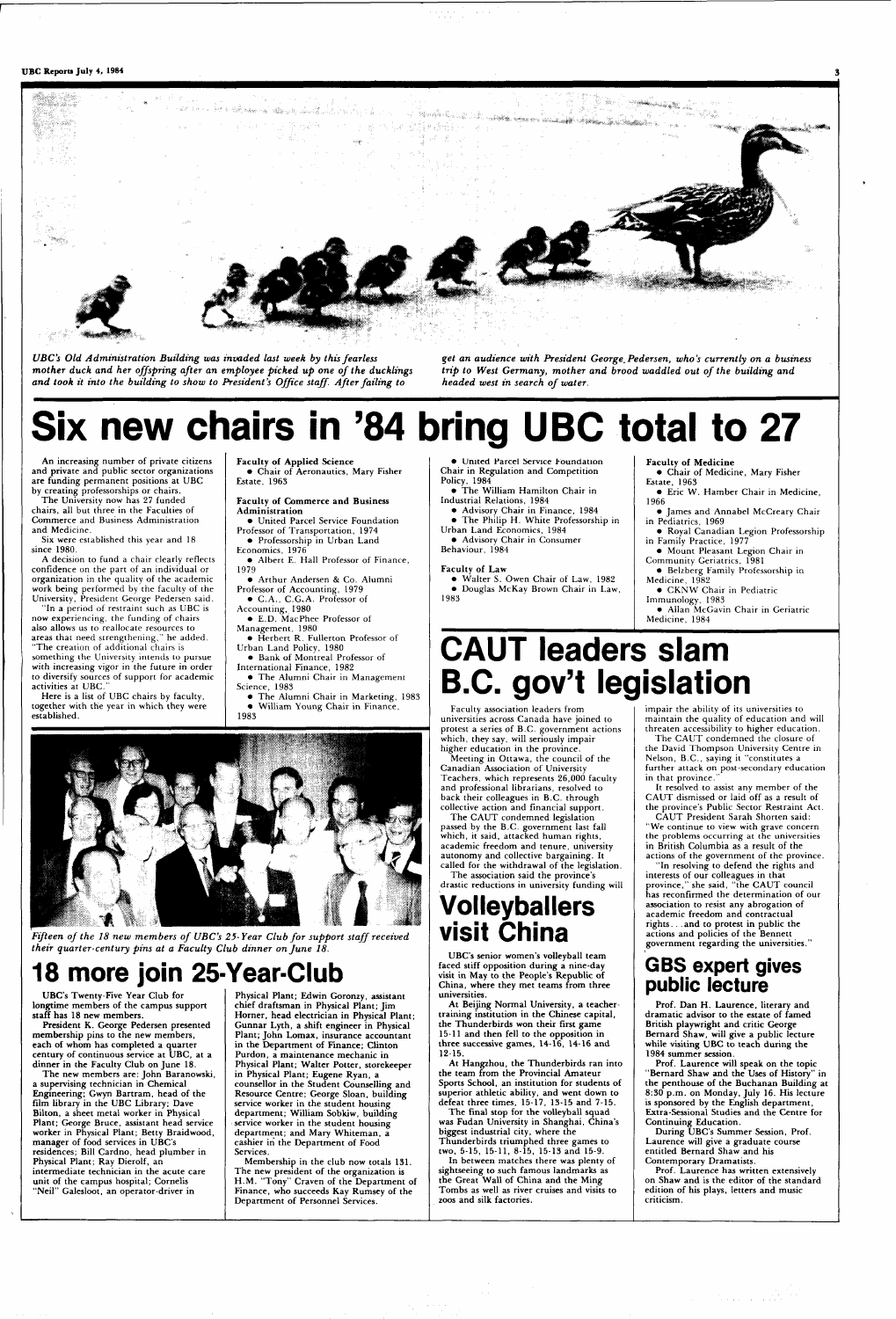

*UBC's Old Administration Building was invaded last week by this fearless mother duck and her offspring after an employee picked up one of the ducklings and took it into the building to show to President's Office staff. After failing to* 

*get an audience with President George. Pedersen, who's currently on a business trip to West Germany, mother and brood waddled out of the building and headed west in search of water.* 

# **Six new chairs in '84 bring UBC total to 27**

**An increasing number of private citizens and private** and public sector organizations are funding permanent positions at UBC **by** creating professorships or chairs.

The University now has 27 funded chairs, all but three in the Faculties of Commerce and Business Administration and Medicine.

Six were established this year and 18 since 1980.

A decision to fund a chair clearly reflects confidence on the part of an individual or organization in the quality of the academic work being performed by the faculty of the University, President George Pedersen said.



*Fifteen of the 18 new members of UBC's 25-Year Club for support staff received their quarter-century pins at a Faculty Club dinner on June 18.* 

"In a period of restraint such as UBC is now experiencing, the funding of chairs also allows us to reallocate resources to areas that need strengthening," he added.

"The creation of additional chairs is something the University intends to pursue with increasing vigor in the future in order to diversify sources of support for academic activities at UBC."

**dinner in the Faculty Club on June 18. The new members are: John Baranowski, a supervising technician in Chemical Engineering; Gwyn Bartram, head of the film library in the UBC Library; Dave Bilton, a** sheet metal **worker in Physical Plant; George Bruce, assistant head** service **worker in Physical Plant; Betty Braidwood, manager** of food services in **UBC's residences; Bill Cardno, head plumber in Physical Plant; Ray Dierolf, an intermediate technician in the acute care unit of the campus hospital; Cornells**  "Neil" Galesloot, an operator-driver in

Here is a list of UBC chairs by faculty, together with the year in which they were established.

**Faculty of Applied Science •** Chair **of** Aeronautics, Mary Fisher Estate, 1963

**Faculty of Commerce and Business Administration** 

• United Parcel Service Foundation Professor of Transportation, 1974

• Professorship in Urban Land Economics, 1976

• Albert E. Hall Professor of Finance, 1979

• Arthur Andersen & Co. Alumni Professor of Accounting, 1979

• C.A., C.G,A. Professor of Accounting, 1980

• E.D. MacPhee Professor of

Management, 1980 • Herbert R. Fullerton Professor of Urban Land Policy, 1980

• Bank of Montreal Professor of

International Finance, 1982 • The Alumni Chair in Management

- Science, 1983 • The Alumni Chair in Marketing, 1983
- William Young Chair in Finance, 1983

#### **18 more join 25-Year-Club UBC's Twenty-Five Year Club for longtime members of the campus support staff has 18 new members. President K. George Pedersen presented membership pins to the new members, each of whom has completed a quarter century of continuous service at UBC, at a Physical Plant; Edwin Goronzy, assistant chief draftsman in Physical Plant; Jim Horner, head electrician in Physical Plant; Gunnar Lyth, a shift engineer in Physical Plant; John Lomax, insurance accountant in the Department of Finance; Clinton Purdon, a maintenance mechanic in**

The CAUT condemned the closure of the David Thompson University Centre in Nelson, B.C., saying it "constitutes a further attack on post-secondary education in that province.

**Physical Plant; Walter Potter, storekeeper in Physical Plant; Eugene Ryan, a counsellor in the Student Counselling and Resource Centre; George Sloan, building service worker in the student housing department; William Sobkiw, building service worker in the student housing department; and Mary Whiteman, a cashier in the Department of Food Services.** 

**Membership in the club now totals 131. The new president of the organization is H.M. "Tony" Craven of the Department of Finance, who succeeds Kay Rumsey of the Department of Personnel** Services.

• **United Parcel** Service Foundation Chair in Regulation and Competition Policy, 1984

• **The** William Hamilton Chair in Industrial Relations, 1984

• Advisory Chair in Finance, 1984 • The Philip H. White Professorship in Urban Land Economics, 1984

• Advisory Chair in Consumer Behaviour, 1984

#### **Faculty of Law**

• Walter S. Owen Chair of Law, 1982 • Douglas McKay Brown Chair in Law,

1983

**Faculty of Medicine** 

- Chair of Medicine, Mary Fisher Estate, 1963
- Eric W. Hamber Chair in Medicine, 1966
- James and Annabel McCreary Chair in Pediatrics, 1969
- Royal Canadian Legion Professorship in Family Practice, 1977
- Mount Pleasant Legion Chair in Community Geriatrics, 1981
- Belzberg Family Professorship in
- Medicine, 1982 • CKNW Chair in Pediatric

Immunology, 1983

• Allan McGavin Chair in Geriatric Medicine, 1984

## **CAUT leaders slam B.C. gov't legislation**

Faculty association leaders from universities across Canada have joined to protest a series of B.C. government actions which, they say, will seriously impair higher education in the province. Meeting in Ottawa, the council of the Canadian Association of University Teachers, which represents 26,000 faculty and professional librarians, resolved to back their colleagues in B.C. through

collective action and financial support. The CAUT condemned legislation passed by the B.C. government last fall which, it said, attacked human rights, academic freedom and tenure, university

autonomy **and** collective bargaining. **It**  called for the withdrawal of the legislation.

The association said the province's drastic reductions in university **funding** will

## **Vol ley bailers visit China**

**UBC's senior women's volleyball team faced stiff opposition during a nine-day visit in May to the People's Republic of** 

**China, where they met teams from three universities.** 

**At Beijing Normal University, a teachertraining institution in the Chinese capital, the Thunderbirds won their first game 15-11 and then fell to the opposition in three successive games, 14-16, 14-16 and 12-15.** 

**At Hangzhou, the Thunderbirds ran into the team from the Provincial Amateur Sports School, an institution for students of superior athletic ability, and went down to defeat three times, 15-17, 13-15 and 7-15.** 

**The final stop for the volleyball squad was Fudan University in Shanghai, China's biggest industrial city, where the Thunderbirds triumphed three games to two, 5-15, 15-11, 8-15, 15-13 and 15-9.** 

**In between matches there was plenty of sightseeing to such famous landmarks as the Great Wall of China and the Ming Tombs as well as river** cruises **and visits to zoos and silk factories.** 

impair the ability of its universities to maintain the quality of education and will threaten accessibility to higher education.

It resolved to assist any member of the CAUT dismissed or laid off as a result of the province's Public Sector Restraint Act.

CAUT President Sarah Shorten said: "We continue to view with grave concern the problems occurring at the universities in British Columbia as **a** result of the actions of the government of the province.

"In resolving to defend the rights and interests of our colleagues in that province," she said, "the CAUT council has **reconfirmed** the determination of **our association** to resist any abrogation of academic **freedom** and **contractual rights**. . . **and to protest in public the**  actions **and policies of the Bennett government regarding the universities."** 

## **GBS expert gives**

#### **public lecture**

**Prof. Dan H. Laurence, literary and dramatic advisor to the estate of famed British playwright and critic George Bernard Shaw, will give a public lecture while visiting UBC to teach during the 1984 summer session.** 

**Prof. Laurence will speak on the topic "Bernard Shaw and the Uses of History" in the penthouse of the Buchanan Building at 8:30 p.m. on Monday, July 16. His lecture is sponsored by the English department, Extra-Sessional Studies and the Centre for Continuing Education.** 

**During UBC's Summer Session, Prof. Laurence will give a graduate course entitled Bernard Shaw and his Contemporary Dramatists.** 

**Prof. Laurence has written extensively on Shaw and is the editor of the standard edition of his plays, letters and music criticism.**